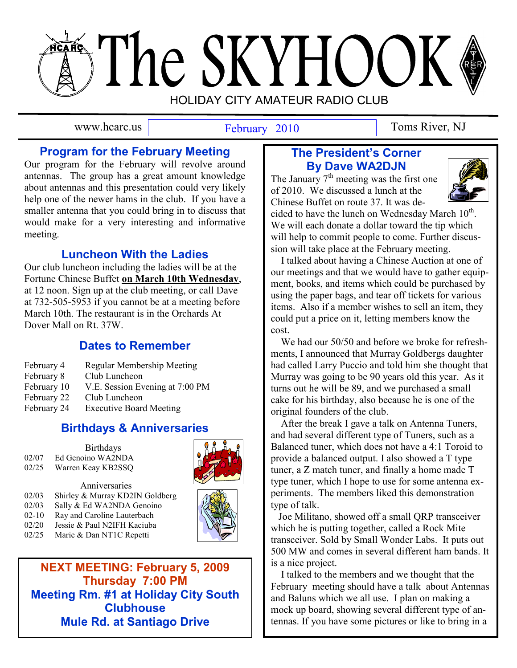# The SKYHOOK HOLIDAY CITY AMATEUR RADIO CLUB

February 2010

www.hcarc.us February 2010 Toms River, NJ

# **Program for the February Meeting**

Our program for the February will revolve around antennas. The group has a great amount knowledge about antennas and this presentation could very likely help one of the newer hams in the club. If you have a smaller antenna that you could bring in to discuss that would make for a very interesting and informative meeting.

# **Luncheon With the Ladies**

Our club luncheon including the ladies will be at the Fortune Chinese Buffet **on March 10th Wednesday**, at 12 noon. Sign up at the club meeting, or call Dave at 732-505-5953 if you cannot be at a meeting before March 10th. The restaurant is in the Orchards At Dover Mall on Rt. 37W.

# **Dates to Remember**

| February 4  | <b>Regular Membership Meeting</b> |
|-------------|-----------------------------------|
| February 8  | Club Luncheon                     |
| February 10 | V.E. Session Evening at 7:00 PM   |
|             |                                   |

- February 22 Club Luncheon
- February 24 Executive Board Meeting

# **Birthdays & Anniversaries**

Birthdays 02/07 Ed Genoino WA2NDA 02/25 Warren Keay KB2SSQ



|           | Anniversaries                   |
|-----------|---------------------------------|
| 02/03     | Shirley & Murray KD2IN Goldberg |
| 02/03     | Sally & Ed WA2NDA Genoino       |
| $02 - 10$ | Ray and Caroline Lauterbach     |
| 02/20     | Jessie & Paul N2IFH Kaciuba     |
| 02/25     | Marie & Dan NT1C Repetti        |



**NEXT MEETING: February 5, 2009 Thursday 7:00PM Thursday 7:00 PM Meeting Rm. #1 at Holiday City South Clubhouse Mule Rd. at Santiago Drive**

# **The President's Corner By Dave WA2DJN**

The January  $7<sup>th</sup>$  meeting was the first one of 2010. We discussed a lunch at the Chinese Buffet on route 37. It was de-



cided to have the lunch on Wednesday March  $10^{th}$ . We will each donate a dollar toward the tip which will help to commit people to come. Further discussion will take place at the February meeting.

 I talked about having a Chinese Auction at one of our meetings and that we would have to gather equipment, books, and items which could be purchased by using the paper bags, and tear off tickets for various items. Also if a member wishes to sell an item, they could put a price on it, letting members know the cost.

 We had our 50/50 and before we broke for refreshments, I announced that Murray Goldbergs daughter had called Larry Puccio and told him she thought that Murray was going to be 90 years old this year. As it turns out he will be 89, and we purchased a small cake for his birthday, also because he is one of the original founders of the club.

 After the break I gave a talk on Antenna Tuners, and had several different type of Tuners, such as a Balanced tuner, which does not have a 4:1 Toroid to provide a balanced output. I also showed a T type tuner, a Z match tuner, and finally a home made T type tuner, which I hope to use for some antenna experiments. The members liked this demonstration type of talk.

 Joe Militano, showed off a small QRP transceiver which he is putting together, called a Rock Mite transceiver. Sold by Small Wonder Labs. It puts out 500 MW and comes in several different ham bands. It is a nice project.

 I talked to the members and we thought that the February meeting should have a talk about Antennas and Baluns which we all use. I plan on making a mock up board, showing several different type of antennas. If you have some pictures or like to bring in a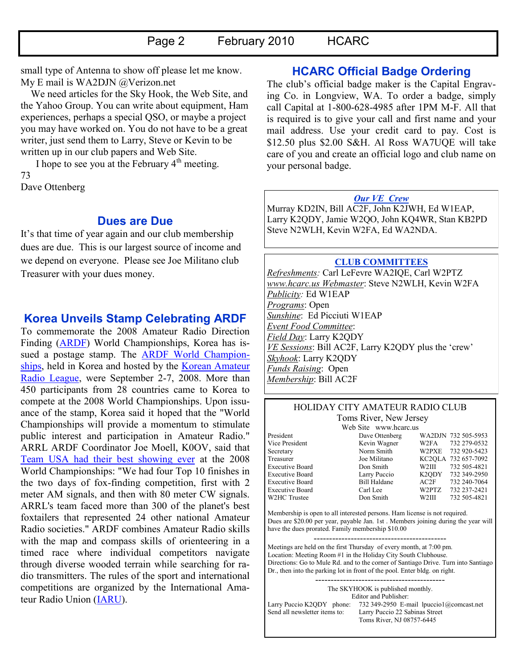small type of Antenna to show off please let me know. My E mail is WA2DJN @Verizon.net

 We need articles for the Sky Hook, the Web Site, and the Yahoo Group. You can write about equipment, Ham experiences, perhaps a special QSO, or maybe a project you may have worked on. You do not have to be a great writer, just send them to Larry, Steve or Kevin to be written up in our club papers and Web Site.

I hope to see you at the February  $4<sup>th</sup>$  meeting. 73

Dave Ottenberg

#### **Dues are Due**

It's that time of year again and our club membership dues are due. This is our largest source of income and we depend on everyone. Please see Joe Militano club Treasurer with your dues money.

## **Korea Unveils Stamp Celebrating ARDF**

To commemorate the 2008 Amateur Radio Direction Finding [\(ARDF\)](http://www.homingin.com/index.html) World Championships, Korea has issued a postage stamp. The [ARDF World Champion](http://2008ardf.org/)[ships,](http://2008ardf.org/) held in Korea and hosted by the [Korean Amateur](http://www.karl.or.kr/)  [Radio League,](http://www.karl.or.kr/) were September 2-7, 2008. More than 450 participants from 28 countries came to Korea to compete at the 2008 World Championships. Upon issuance of the stamp, Korea said it hoped that the "World Championships will provide a momentum to stimulate public interest and participation in Amateur Radio." ARRL ARDF Coordinator Joe Moell, K0OV, said that [Team USA had their best showing ever](http://www.arrl.org/news/features/2008/09/29/10361/) at the 2008 World Championships: "We had four Top 10 finishes in the two days of fox-finding competition, first with 2 meter AM signals, and then with 80 meter CW signals. ARRL's team faced more than 300 of the planet's best foxtailers that represented 24 other national Amateur Radio societies." ARDF combines Amateur Radio skills with the map and compass skills of orienteering in a timed race where individual competitors navigate through diverse wooded terrain while searching for radio transmitters. The rules of the sport and international competitions are organized by the International Amateur Radio Union ([IARU\)](http://www.iaru.org/).

#### **HCARC Official Badge Ordering**

The club's official badge maker is the Capital Engraving Co. in Longview, WA. To order a badge, simply call Capital at 1-800-628-4985 after 1PM M-F. All that is required is to give your call and first name and your mail address. Use your credit card to pay. Cost is \$12.50 plus \$2.00 S&H. Al Ross WA7UQE will take care of you and create an official logo and club name on your personal badge.

#### *Our VE Crew*

Murray KD2IN, Bill AC2F, John K2JWH, Ed W1EAP, Larry K2QDY, Jamie W2QO, John KQ4WR, Stan KB2PD Steve N2WLH, Kevin W2FA, Ed WA2NDA.

#### **CLUB COMMITTEES**

*Refreshments:* Carl LeFevre WA2IQE, Carl W2PTZ *www.hcarc.us Webmaster*: Steve N2WLH, Kevin W2FA *Publicity:* Ed W1EAP *Programs*: Open *Sunshine*: Ed Picciuti W1EAP *Event Food Committee*: *Field Day*: Larry K2QDY *VE Sessions*: Bill AC2F, Larry K2QDY plus the 'crew' *Skyhook*: Larry K2QDY *Funds Raising*: Open *Membership*: Bill AC2F

#### HOLIDAY CITY AMATEUR RADIO CLUB Toms River, New Jersey

W2HC Trustee Don Smith

Web Site www.hcarc.us<br>Dave Ottenberg President Dave Ottenberg WA2DJN 732 505-5953 Vice President Kevin Wagner W2FA 732 279-0532 Secretary Norm Smith W2PXE 732 920-5423 Treasurer Joe Militano KC2QLA 732 657-7092 Executive Board Don Smith W2III 732 505-4821 Executive Board Larry Puccio K2QDY 732 349-2950 Executive Board Bill Haldane AC2F 732 240-7064 Executive Board<br>
Watcher Carl Lee Wallet 232 237-2421<br>
Watcher Community 2011 732 505-4821

Membership is open to all interested persons. Ham license is not required. Dues are \$20.00 per year, payable Jan. 1st . Members joining during the year will have the dues prorated. Family membership \$10.00

------------------------------------------- Meetings are held on the first Thursday of every month, at 7:00 pm. Location: Meeting Room #1 in the Holiday City South Clubhouse. Directions: Go to Mule Rd. and to the corner of Santiago Drive. Turn into Santiago Dr., then into the parking lot in front of the pool. Enter bldg. on right.

------------------------------------------ The SKYHOOK is published monthly. Editor and Publisher: Larry Puccio K2QDY phone: 732 349-2950 E-mail lpuccio1@comcast.net<br>Send all newsletter items to: Larry Puccio 22 Sabinas Street Larry Puccio 22 Sabinas Street

Toms River, NJ 08757-6445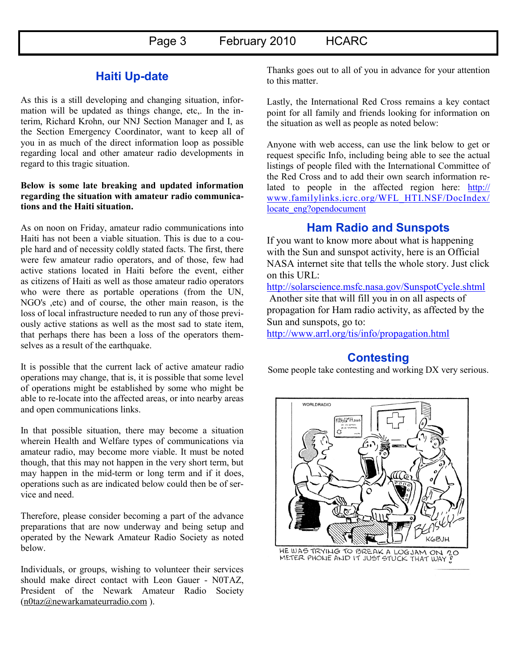# **Haiti Up-date**

As this is a still developing and changing situation, information will be updated as things change, etc,. In the interim, Richard Krohn, our NNJ Section Manager and I, as the Section Emergency Coordinator, want to keep all of you in as much of the direct information loop as possible regarding local and other amateur radio developments in regard to this tragic situation.

#### **Below is some late breaking and updated information regarding the situation with amateur radio communications and the Haiti situation.**

As on noon on Friday, amateur radio communications into Haiti has not been a viable situation. This is due to a couple hard and of necessity coldly stated facts. The first, there were few amateur radio operators, and of those, few had active stations located in Haiti before the event, either as citizens of Haiti as well as those amateur radio operators who were there as portable operations (from the UN, NGO's ,etc) and of course, the other main reason, is the loss of local infrastructure needed to run any of those previously active stations as well as the most sad to state item, that perhaps there has been a loss of the operators themselves as a result of the earthquake.

It is possible that the current lack of active amateur radio operations may change, that is, it is possible that some level of operations might be established by some who might be able to re-locate into the affected areas, or into nearby areas and open communications links.

In that possible situation, there may become a situation wherein Health and Welfare types of communications via amateur radio, may become more viable. It must be noted though, that this may not happen in the very short term, but may happen in the mid-term or long term and if it does, operations such as are indicated below could then be of service and need.

Therefore, please consider becoming a part of the advance preparations that are now underway and being setup and operated by the Newark Amateur Radio Society as noted below.

Individuals, or groups, wishing to volunteer their services should make direct contact with Leon Gauer - N0TAZ, President of the Newark Amateur Radio Society [\(n0taz@newarkamateurradio.com](mailto:n0taz@newarkamateurradio.com) ).

Thanks goes out to all of you in advance for your attention to this matter.

Lastly, the International Red Cross remains a key contact point for all family and friends looking for information on the situation as well as people as noted below:

Anyone with web access, can use the link below to get or request specific Info, including being able to see the actual listings of people filed with the International Committee of the Red Cross and to add their own search information related to people in the affected region here: [http://](http://www.familylinks.icrc.org/WFL_HTI.NSF/DocIndex/locate_eng?opendocument) [www.familylinks.icrc.org/WFL\\_HTI.NSF/DocIndex/](http://www.familylinks.icrc.org/WFL_HTI.NSF/DocIndex/locate_eng?opendocument) [locate\\_eng?opendocument](http://www.familylinks.icrc.org/WFL_HTI.NSF/DocIndex/locate_eng?opendocument)

## **Ham Radio and Sunspots**

If you want to know more about what is happening with the Sun and sunspot activity, here is an Official NASA internet site that tells the whole story. Just click on this URL:

<http://solarscience.msfc.nasa.gov/SunspotCycle.shtml> Another site that will fill you in on all aspects of propagation for Ham radio activity, as affected by the Sun and sunspots, go to:

<http://www.arrl.org/tis/info/propagation.html>

# **Contesting**

Some people take contesting and working DX very serious.



HE WAS TRYING TO BREAK A LOGJAM ON 70